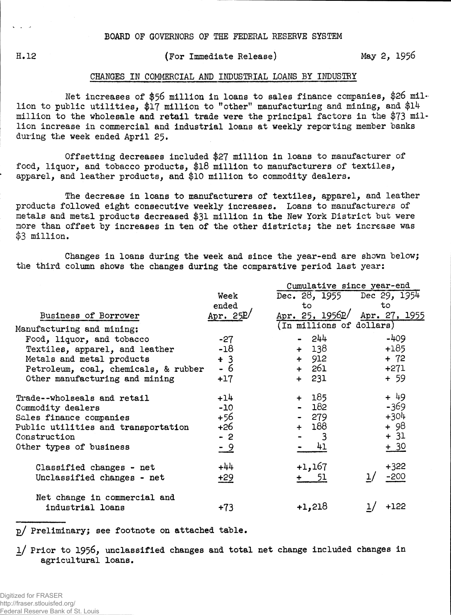$\sqrt{2}$ 

## **H.12 (For Immediate Release) May 2, 1956**

## **CHANGES IN COMMERCIAL AMD INDUSTRIAL LOANS BY INDUSTRY**

**Net increases of \$56 million in loans to sales finance companies, \$26 mil lion to public utilities, \$17 million to "other" manufacturing and mining, and \$14 million to the wholesale and retail trade were the principal factors in the \$73 mil lion increase in commercial and industrial loans at weekly reporting member banks during the week ended April 25.**

**Offsetting decreases included \$27 million in loans to manufacturer of food, liquor, and tobacco products, \$18 million to manufacturers of textiles, apparel, and leather products, and \$10 million to commodity dealers.**

**The decrease in loans to manufacturers of textiles, apparel, and leather products followed eight consecutive weekly increases. Loans to manufacturers of metals and metal products decreased \$31 million in the New York District but were more than offset by increases in ten of the other districts; the net increase was \$3 million.**

**Changes in loans during the week and since the year-end are shown below; the third column shows the changes during the comparative period last year:**

|                                      |             | Cumulative since year-end  |               |  |  |  |  |  |
|--------------------------------------|-------------|----------------------------|---------------|--|--|--|--|--|
|                                      | Week        | Dec. 28, 1955 Dec 29, 1954 |               |  |  |  |  |  |
|                                      | ended       | to                         | to            |  |  |  |  |  |
| Business of Borrower                 | Apr. $25E/$ | Apr. 25, $1956P/$          | Apr. 27, 1955 |  |  |  |  |  |
| Manufacturing and mining:            |             | (In millions of dollars)   |               |  |  |  |  |  |
| Food, liquor, and tobacco            | $-27$       | - 244                      | $-409$        |  |  |  |  |  |
| Textiles, apparel, and leather       | -18         | + 138                      | $+185$        |  |  |  |  |  |
| Metals and metal products            | $+3$        | + 912                      | $+ 72$        |  |  |  |  |  |
| Petroleum, coal, chemicals, & rubber | - 6         | + 261                      | $+271$        |  |  |  |  |  |
| Other manufacturing and mining       | $+17$       | + 231                      | $+ 59$        |  |  |  |  |  |
| Trade--wholseals and retail          | $+14$       | + 185                      | + 49          |  |  |  |  |  |
| Commodity dealers                    | $-10$       | $-182$                     | $-369$        |  |  |  |  |  |
| Sales finance companies              | +56         | - 279                      | $+304$        |  |  |  |  |  |
| Public utilities and transportation  | +26         | $+ 188$                    | + 98          |  |  |  |  |  |
| Construction                         | $-2$        | 3                          | $+ 31$        |  |  |  |  |  |
| Other types of business              | $-9$        | 41                         | $+30$         |  |  |  |  |  |
| Classified changes - net             | $+44$       | $+1,167$                   | $+322$        |  |  |  |  |  |
| Unclassified changes - net           | $+29$       | + 51                       | $-200$        |  |  |  |  |  |
| Net change in commercial and         |             |                            |               |  |  |  |  |  |
| industrial loans                     | $+73$       | $+1,218$                   | $+122$        |  |  |  |  |  |

*•QJ* **Preliminary; see footnote on attached table.**

**l/ Prior to 1956, unclassified changes and total net change included changes in agricultural loans.**